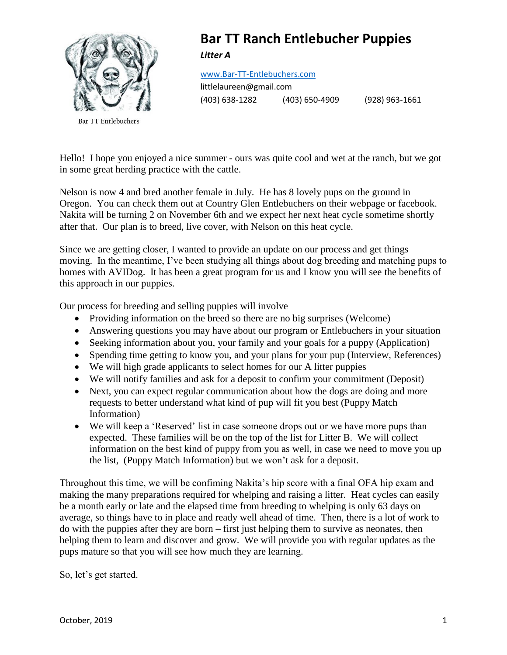

**Bar TT Entlebuchers** 

### **Bar TT Ranch Entlebucher Puppies** *Litter A*

[www.Bar-TT-Entlebuchers.com](http://www.bar-tt-entlebuchers.com/)

littlelaureen@gmail.com (403) 638-1282 (403) 650-4909 (928) 963-1661

Hello! I hope you enjoyed a nice summer - ours was quite cool and wet at the ranch, but we got in some great herding practice with the cattle.

Nelson is now 4 and bred another female in July. He has 8 lovely pups on the ground in Oregon. You can check them out at Country Glen Entlebuchers on their webpage or facebook. Nakita will be turning 2 on November 6th and we expect her next heat cycle sometime shortly after that. Our plan is to breed, live cover, with Nelson on this heat cycle.

Since we are getting closer, I wanted to provide an update on our process and get things moving. In the meantime, I've been studying all things about dog breeding and matching pups to homes with AVIDog. It has been a great program for us and I know you will see the benefits of this approach in our puppies.

Our process for breeding and selling puppies will involve

- Providing information on the breed so there are no big surprises (Welcome)
- Answering questions you may have about our program or Entlebuchers in your situation
- Seeking information about you, your family and your goals for a puppy (Application)
- Spending time getting to know you, and your plans for your pup (Interview, References)
- We will high grade applicants to select homes for our A litter puppies
- We will notify families and ask for a deposit to confirm your commitment (Deposit)
- Next, you can expect regular communication about how the dogs are doing and more requests to better understand what kind of pup will fit you best (Puppy Match Information)
- We will keep a 'Reserved' list in case someone drops out or we have more pups than expected. These families will be on the top of the list for Litter B. We will collect information on the best kind of puppy from you as well, in case we need to move you up the list, (Puppy Match Information) but we won't ask for a deposit.

Throughout this time, we will be confiming Nakita's hip score with a final OFA hip exam and making the many preparations required for whelping and raising a litter. Heat cycles can easily be a month early or late and the elapsed time from breeding to whelping is only 63 days on average, so things have to in place and ready well ahead of time. Then, there is a lot of work to do with the puppies after they are born – first just helping them to survive as neonates, then helping them to learn and discover and grow. We will provide you with regular updates as the pups mature so that you will see how much they are learning.

So, let's get started.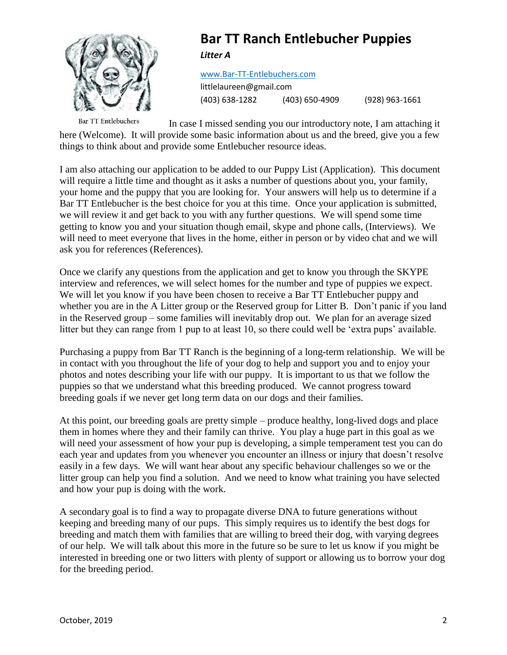

## **Bar TT Ranch Entlebucher Puppies** *Litter A*

#### [www.Bar-TT-Entlebuchers.com](http://www.bar-tt-entlebuchers.com/)

littlelaureen@gmail.com (403) 638-1282 (403) 650-4909 (928) 963-1661

**Bar TT Entlebuchers** In case I missed sending you our introductory note, I am attaching it here (Welcome). It will provide some basic information about us and the breed, give you a few things to think about and provide some Entlebucher resource ideas.

I am also attaching our application to be added to our Puppy List (Application). This document will require a little time and thought as it asks a number of questions about you, your family, your home and the puppy that you are looking for. Your answers will help us to determine if a Bar TT Entlebucher is the best choice for you at this time. Once your application is submitted, we will review it and get back to you with any further questions. We will spend some time getting to know you and your situation though email, skype and phone calls, (Interviews). We will need to meet everyone that lives in the home, either in person or by video chat and we will ask you for references (References).

Once we clarify any questions from the application and get to know you through the SKYPE interview and references, we will select homes for the number and type of puppies we expect. We will let you know if you have been chosen to receive a Bar TT Entlebucher puppy and whether you are in the A Litter group or the Reserved group for Litter B. Don't panic if you land in the Reserved group – some families will inevitably drop out. We plan for an average sized litter but they can range from 1 pup to at least 10, so there could well be 'extra pups' available.

Purchasing a puppy from Bar TT Ranch is the beginning of a long-term relationship. We will be in contact with you throughout the life of your dog to help and support you and to enjoy your photos and notes describing your life with our puppy. It is important to us that we follow the puppies so that we understand what this breeding produced. We cannot progress toward breeding goals if we never get long term data on our dogs and their families.

At this point, our breeding goals are pretty simple – produce healthy, long-lived dogs and place them in homes where they and their family can thrive. You play a huge part in this goal as we will need your assessment of how your pup is developing, a simple temperament test you can do each year and updates from you whenever you encounter an illness or injury that doesn't resolve easily in a few days. We will want hear about any specific behaviour challenges so we or the litter group can help you find a solution. And we need to know what training you have selected and how your pup is doing with the work.

A secondary goal is to find a way to propagate diverse DNA to future generations without keeping and breeding many of our pups. This simply requires us to identify the best dogs for breeding and match them with families that are willing to breed their dog, with varying degrees of our help. We will talk about this more in the future so be sure to let us know if you might be interested in breeding one or two litters with plenty of support or allowing us to borrow your dog for the breeding period.